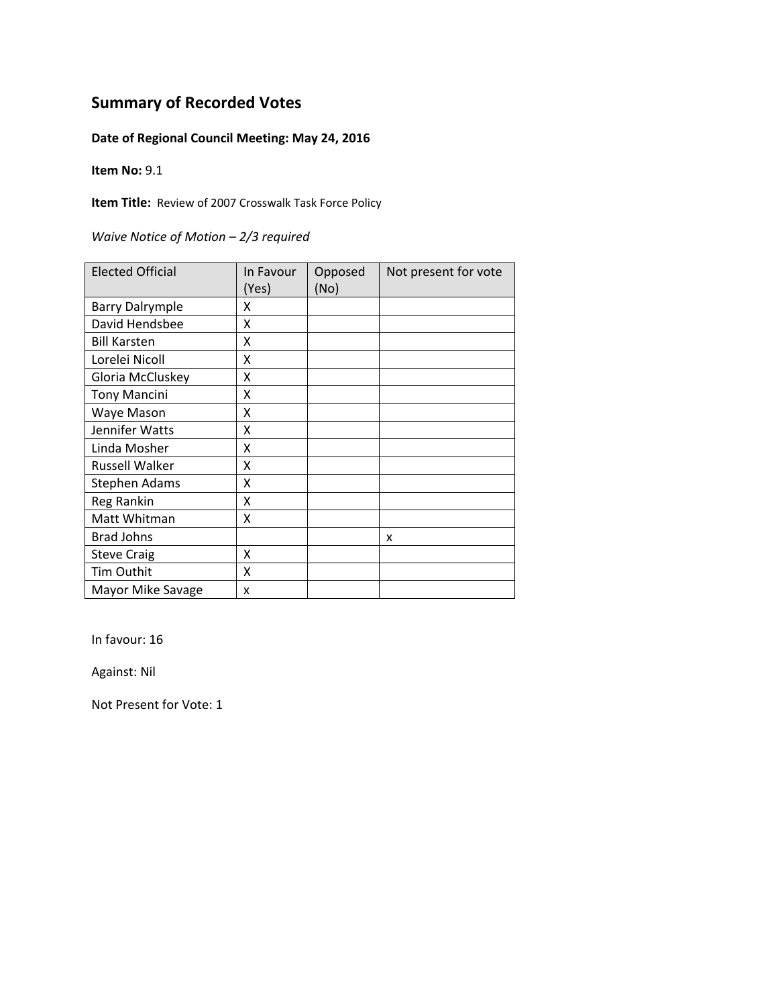### **Date of Regional Council Meeting: May 24, 2016**

**Item No:** 9.1

**Item Title:** Review of 2007 Crosswalk Task Force Policy

*Waive Notice of Motion – 2/3 required*

| <b>Elected Official</b> | In Favour | Opposed | Not present for vote |
|-------------------------|-----------|---------|----------------------|
|                         | (Yes)     | (No)    |                      |
| <b>Barry Dalrymple</b>  | x         |         |                      |
| David Hendsbee          | Χ         |         |                      |
| <b>Bill Karsten</b>     | X         |         |                      |
| Lorelei Nicoll          | Χ         |         |                      |
| Gloria McCluskey        | X         |         |                      |
| <b>Tony Mancini</b>     | X         |         |                      |
| Waye Mason              | X         |         |                      |
| Jennifer Watts          | X         |         |                      |
| Linda Mosher            | X         |         |                      |
| Russell Walker          | X         |         |                      |
| <b>Stephen Adams</b>    | X         |         |                      |
| Reg Rankin              | X         |         |                      |
| Matt Whitman            | X         |         |                      |
| <b>Brad Johns</b>       |           |         | x                    |
| <b>Steve Craig</b>      | X         |         |                      |
| Tim Outhit              | X         |         |                      |
| Mayor Mike Savage       | x         |         |                      |

In favour: 16

Against: Nil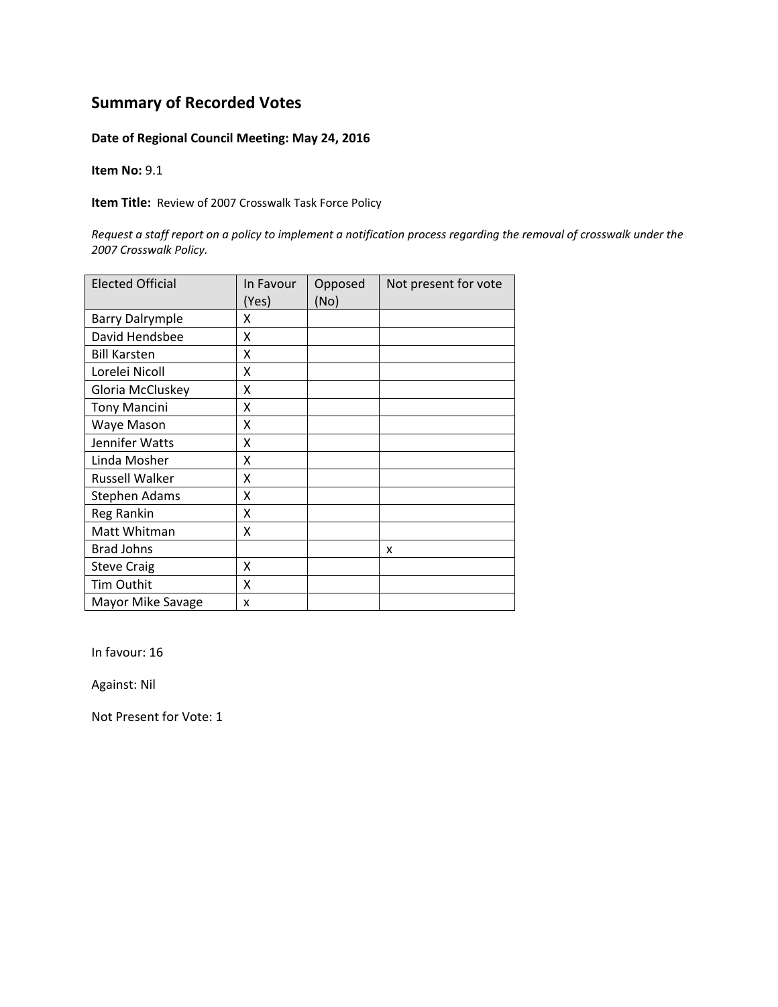#### **Date of Regional Council Meeting: May 24, 2016**

**Item No:** 9.1

**Item Title:** Review of 2007 Crosswalk Task Force Policy

Request a staff report on a policy to implement a notification process regarding the removal of crosswalk under the *2007 Crosswalk Policy.*

| <b>Elected Official</b> | In Favour<br>(Yes) | Opposed<br>(No) | Not present for vote |
|-------------------------|--------------------|-----------------|----------------------|
| <b>Barry Dalrymple</b>  | x                  |                 |                      |
| David Hendsbee          | Χ                  |                 |                      |
| <b>Bill Karsten</b>     | X                  |                 |                      |
| Lorelei Nicoll          | X                  |                 |                      |
| Gloria McCluskey        | X                  |                 |                      |
| <b>Tony Mancini</b>     | Χ                  |                 |                      |
| Waye Mason              | x                  |                 |                      |
| Jennifer Watts          | x                  |                 |                      |
| Linda Mosher            | X                  |                 |                      |
| <b>Russell Walker</b>   | X                  |                 |                      |
| Stephen Adams           | X                  |                 |                      |
| Reg Rankin              | X                  |                 |                      |
| Matt Whitman            | X                  |                 |                      |
| <b>Brad Johns</b>       |                    |                 | X                    |
| <b>Steve Craig</b>      | x                  |                 |                      |
| Tim Outhit              | x                  |                 |                      |
| Mayor Mike Savage       | x                  |                 |                      |

In favour: 16

Against: Nil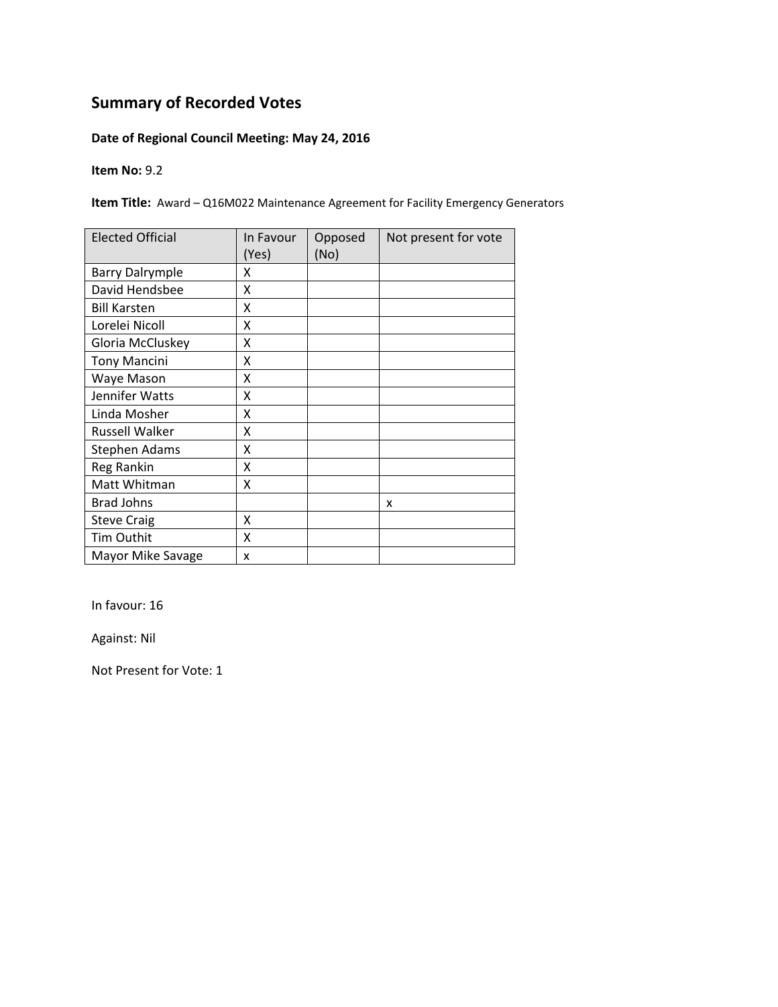### **Date of Regional Council Meeting: May 24, 2016**

**Item No:** 9.2

**Item Title:** Award – Q16M022 Maintenance Agreement for Facility Emergency Generators

| <b>Elected Official</b> | In Favour<br>(Yes) | Opposed<br>(No) | Not present for vote |
|-------------------------|--------------------|-----------------|----------------------|
| <b>Barry Dalrymple</b>  | x                  |                 |                      |
| David Hendsbee          | X                  |                 |                      |
| <b>Bill Karsten</b>     | X                  |                 |                      |
| Lorelei Nicoll          | X                  |                 |                      |
| Gloria McCluskey        | X                  |                 |                      |
| <b>Tony Mancini</b>     | Χ                  |                 |                      |
| Waye Mason              | Χ                  |                 |                      |
| Jennifer Watts          | X                  |                 |                      |
| Linda Mosher            | Χ                  |                 |                      |
| Russell Walker          | Χ                  |                 |                      |
| Stephen Adams           | Χ                  |                 |                      |
| Reg Rankin              | X                  |                 |                      |
| Matt Whitman            | Χ                  |                 |                      |
| <b>Brad Johns</b>       |                    |                 | x                    |
| <b>Steve Craig</b>      | Χ                  |                 |                      |
| Tim Outhit              | Χ                  |                 |                      |
| Mayor Mike Savage       | x                  |                 |                      |

In favour: 16

Against: Nil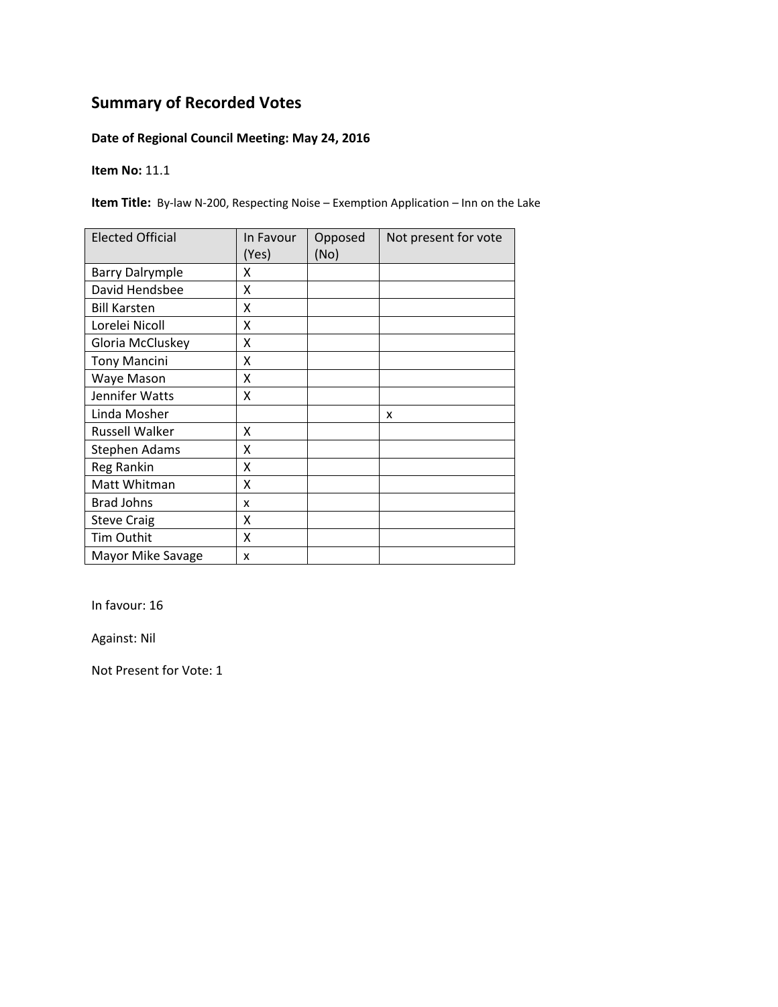### **Date of Regional Council Meeting: May 24, 2016**

**Item No:** 11.1

**Item Title:** By‐law N‐200, Respecting Noise – Exemption Application – Inn on the Lake

| <b>Elected Official</b> | In Favour<br>(Yes) | Opposed<br>(No) | Not present for vote |
|-------------------------|--------------------|-----------------|----------------------|
| <b>Barry Dalrymple</b>  | x                  |                 |                      |
| David Hendsbee          | X                  |                 |                      |
| <b>Bill Karsten</b>     | x                  |                 |                      |
| Lorelei Nicoll          | X                  |                 |                      |
| Gloria McCluskey        | Χ                  |                 |                      |
| <b>Tony Mancini</b>     | Χ                  |                 |                      |
| Waye Mason              | X                  |                 |                      |
| Jennifer Watts          | X                  |                 |                      |
| Linda Mosher            |                    |                 | x                    |
| Russell Walker          | x                  |                 |                      |
| Stephen Adams           | X                  |                 |                      |
| Reg Rankin              | X                  |                 |                      |
| Matt Whitman            | X                  |                 |                      |
| <b>Brad Johns</b>       | x                  |                 |                      |
| <b>Steve Craig</b>      | Χ                  |                 |                      |
| Tim Outhit              | Χ                  |                 |                      |
| Mayor Mike Savage       | x                  |                 |                      |

In favour: 16

Against: Nil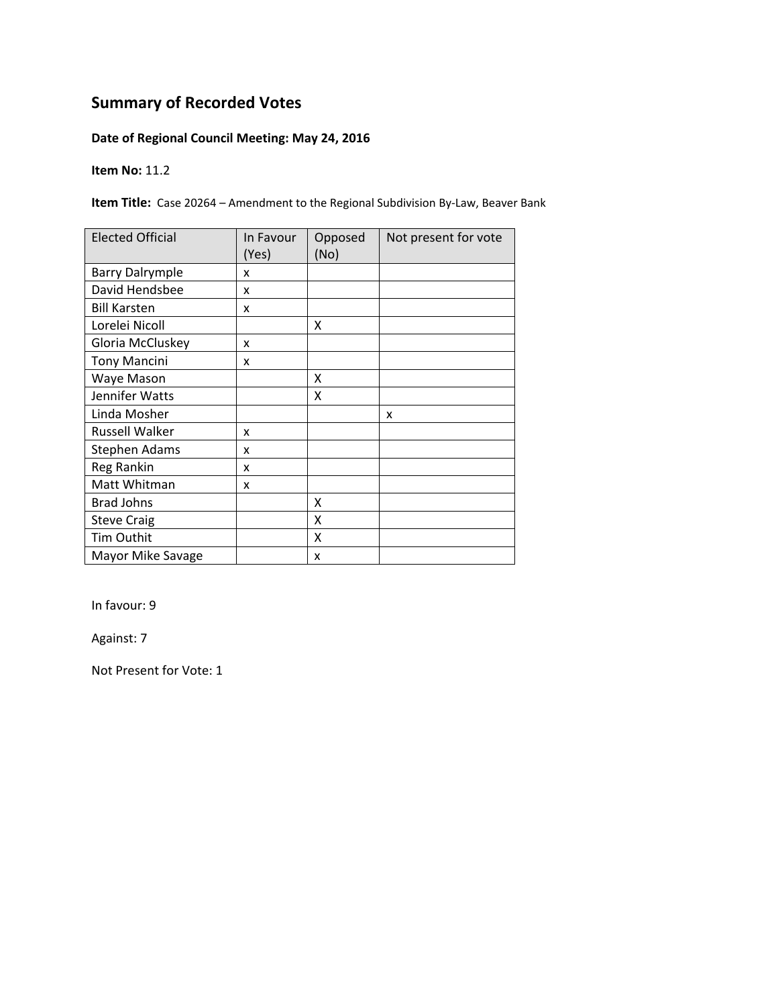### **Date of Regional Council Meeting: May 24, 2016**

#### **Item No:** 11.2

**Item Title:** Case 20264 – Amendment to the Regional Subdivision By‐Law, Beaver Bank

| <b>Elected Official</b> | In Favour<br>(Yes) | Opposed<br>(No) | Not present for vote |
|-------------------------|--------------------|-----------------|----------------------|
| <b>Barry Dalrymple</b>  | x                  |                 |                      |
| David Hendsbee          | x                  |                 |                      |
| <b>Bill Karsten</b>     | x                  |                 |                      |
| Lorelei Nicoll          |                    | x               |                      |
| Gloria McCluskey        | x                  |                 |                      |
| <b>Tony Mancini</b>     | x                  |                 |                      |
| Waye Mason              |                    | x               |                      |
| Jennifer Watts          |                    | χ               |                      |
| Linda Mosher            |                    |                 | x                    |
| Russell Walker          | x                  |                 |                      |
| <b>Stephen Adams</b>    | x                  |                 |                      |
| Reg Rankin              | x                  |                 |                      |
| Matt Whitman            | x                  |                 |                      |
| <b>Brad Johns</b>       |                    | X               |                      |
| <b>Steve Craig</b>      |                    | X               |                      |
| Tim Outhit              |                    | X               |                      |
| Mayor Mike Savage       |                    | x               |                      |

In favour: 9

Against: 7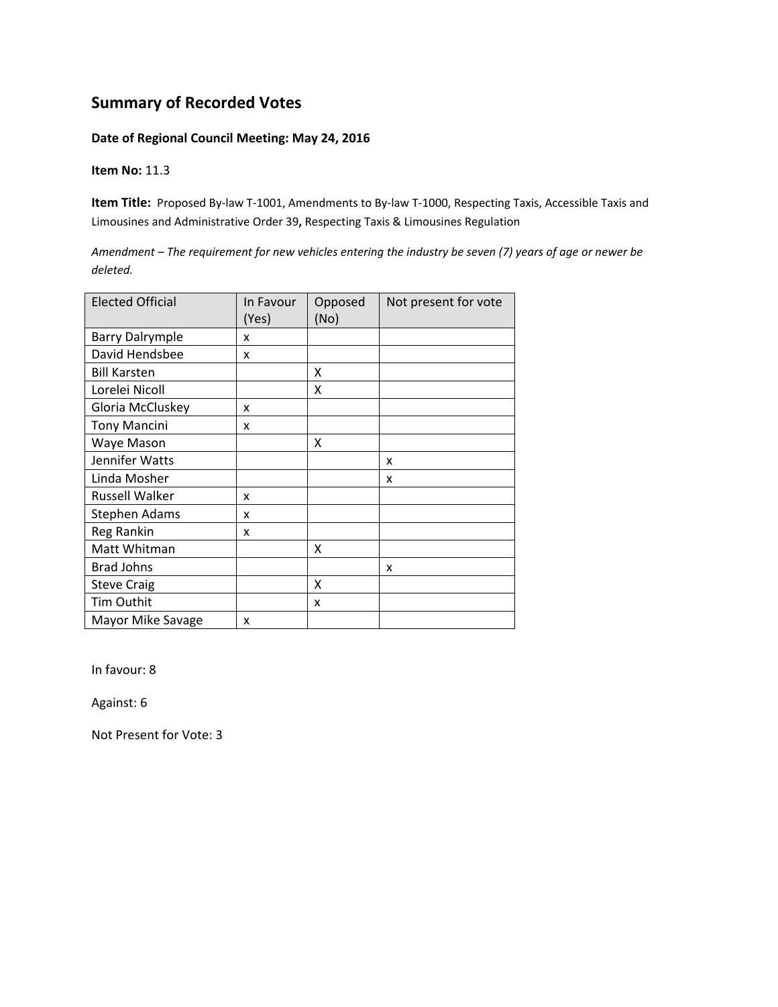#### **Date of Regional Council Meeting: May 24, 2016**

#### **Item No:** 11.3

**Item Title:** Proposed By‐law T‐1001, Amendments to By‐law T‐1000, Respecting Taxis, Accessible Taxis and Limousines and Administrative Order 39**,** Respecting Taxis & Limousines Regulation

Amendment - The requirement for new vehicles entering the industry be seven (7) years of age or newer be *deleted.*

| <b>Elected Official</b> | In Favour<br>(Yes) | Opposed<br>(No) | Not present for vote |
|-------------------------|--------------------|-----------------|----------------------|
| <b>Barry Dalrymple</b>  | x                  |                 |                      |
| David Hendsbee          | x                  |                 |                      |
| <b>Bill Karsten</b>     |                    | X               |                      |
| Lorelei Nicoll          |                    | X               |                      |
| Gloria McCluskey        | x                  |                 |                      |
| <b>Tony Mancini</b>     | x                  |                 |                      |
| Waye Mason              |                    | x               |                      |
| Jennifer Watts          |                    |                 | x                    |
| Linda Mosher            |                    |                 | x                    |
| <b>Russell Walker</b>   | x                  |                 |                      |
| Stephen Adams           | x                  |                 |                      |
| Reg Rankin              | x                  |                 |                      |
| Matt Whitman            |                    | X               |                      |
| <b>Brad Johns</b>       |                    |                 | x                    |
| <b>Steve Craig</b>      |                    | X               |                      |
| Tim Outhit              |                    | x               |                      |
| Mayor Mike Savage       | x                  |                 |                      |

In favour: 8

Against: 6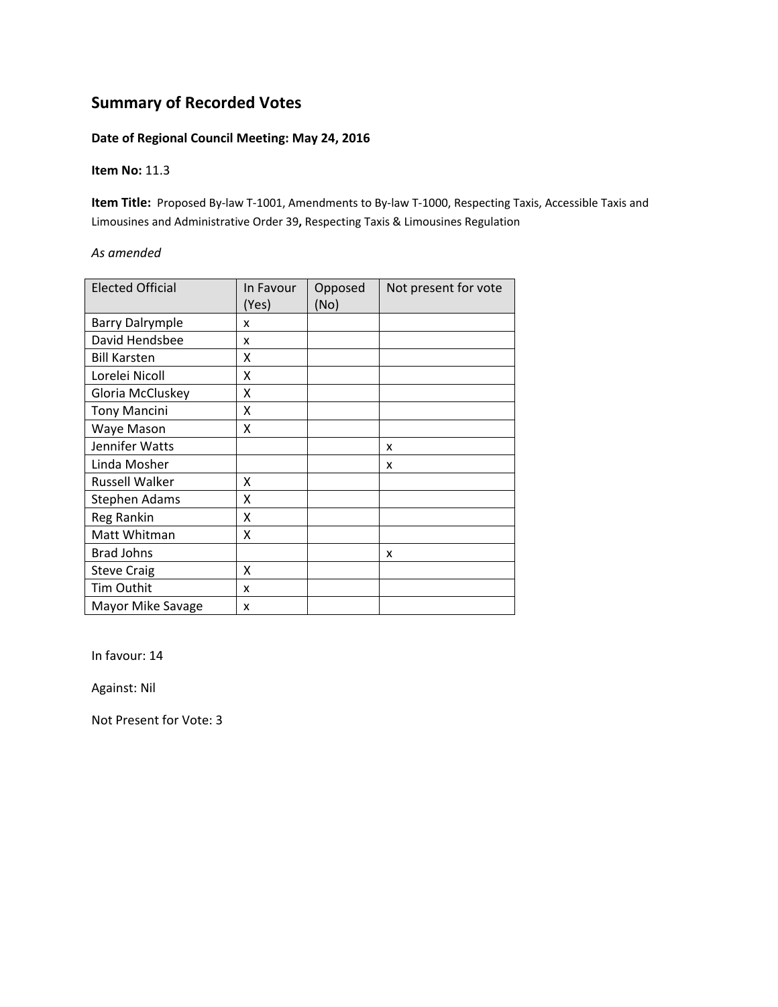#### **Date of Regional Council Meeting: May 24, 2016**

#### **Item No:** 11.3

**Item Title:** Proposed By‐law T‐1001, Amendments to By‐law T‐1000, Respecting Taxis, Accessible Taxis and Limousines and Administrative Order 39**,** Respecting Taxis & Limousines Regulation

#### *As amended*

| <b>Elected Official</b> | In Favour<br>(Yes) | Opposed<br>(No) | Not present for vote |
|-------------------------|--------------------|-----------------|----------------------|
| <b>Barry Dalrymple</b>  | x                  |                 |                      |
| David Hendsbee          | x                  |                 |                      |
| <b>Bill Karsten</b>     | X                  |                 |                      |
| Lorelei Nicoll          | X                  |                 |                      |
| Gloria McCluskey        | Χ                  |                 |                      |
| <b>Tony Mancini</b>     | Χ                  |                 |                      |
| Waye Mason              | χ                  |                 |                      |
| Jennifer Watts          |                    |                 | x                    |
| Linda Mosher            |                    |                 | x                    |
| Russell Walker          | Χ                  |                 |                      |
| <b>Stephen Adams</b>    | Χ                  |                 |                      |
| Reg Rankin              | X                  |                 |                      |
| Matt Whitman            | Χ                  |                 |                      |
| <b>Brad Johns</b>       |                    |                 | x                    |
| <b>Steve Craig</b>      | x                  |                 |                      |
| Tim Outhit              | x                  |                 |                      |
| Mayor Mike Savage       | x                  |                 |                      |

In favour: 14

Against: Nil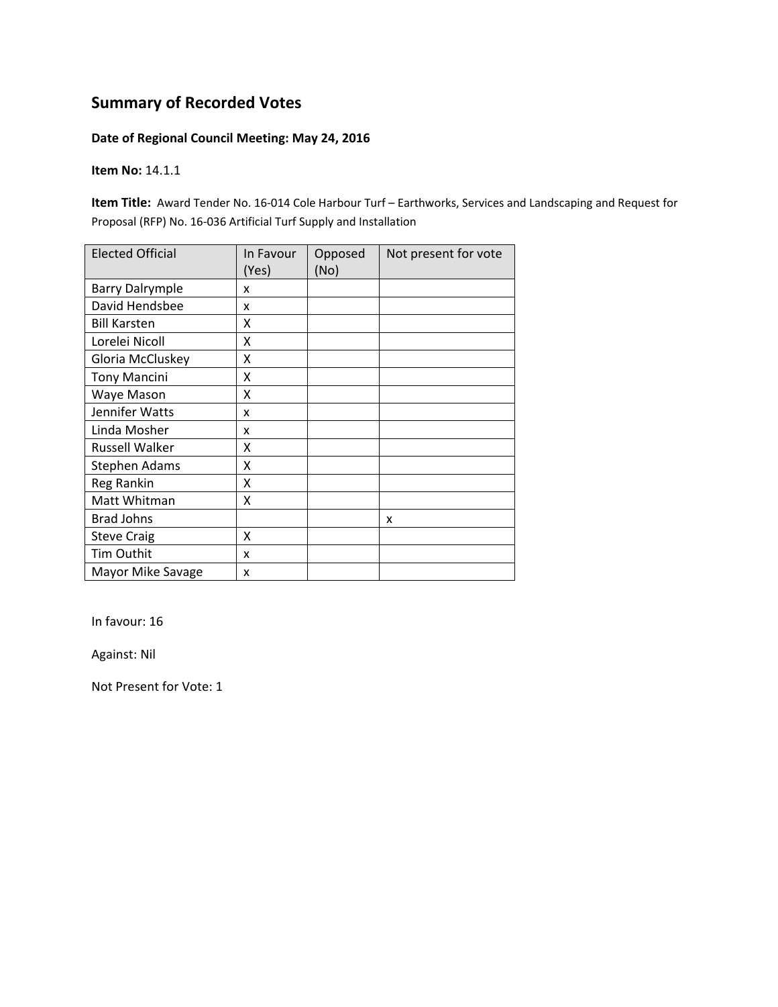#### **Date of Regional Council Meeting: May 24, 2016**

**Item No:** 14.1.1

**Item Title:** Award Tender No. 16‐014 Cole Harbour Turf – Earthworks, Services and Landscaping and Request for Proposal (RFP) No. 16‐036 Artificial Turf Supply and Installation

| <b>Elected Official</b> | In Favour<br>(Yes) | Opposed<br>(No) | Not present for vote |
|-------------------------|--------------------|-----------------|----------------------|
| <b>Barry Dalrymple</b>  | x                  |                 |                      |
| David Hendsbee          | x                  |                 |                      |
| <b>Bill Karsten</b>     | X                  |                 |                      |
| Lorelei Nicoll          | X                  |                 |                      |
| Gloria McCluskey        | X                  |                 |                      |
| <b>Tony Mancini</b>     | X                  |                 |                      |
| Waye Mason              | X                  |                 |                      |
| Jennifer Watts          | x                  |                 |                      |
| Linda Mosher            | x                  |                 |                      |
| Russell Walker          | Χ                  |                 |                      |
| Stephen Adams           | x                  |                 |                      |
| Reg Rankin              | Χ                  |                 |                      |
| Matt Whitman            | X                  |                 |                      |
| <b>Brad Johns</b>       |                    |                 | x                    |
| <b>Steve Craig</b>      | X                  |                 |                      |
| Tim Outhit              | x                  |                 |                      |
| Mayor Mike Savage       | x                  |                 |                      |

In favour: 16

Against: Nil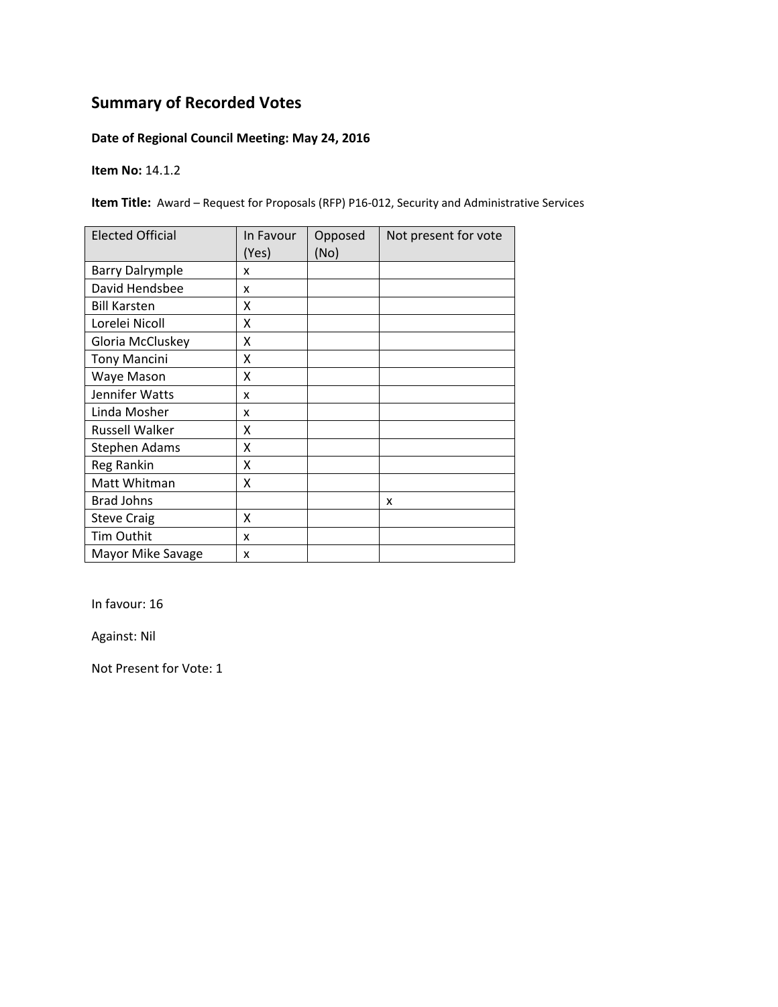### **Date of Regional Council Meeting: May 24, 2016**

**Item No:** 14.1.2

**Item Title:** Award – Request for Proposals (RFP) P16‐012, Security and Administrative Services

| <b>Elected Official</b> | In Favour<br>(Yes) | Opposed<br>(No) | Not present for vote |
|-------------------------|--------------------|-----------------|----------------------|
| <b>Barry Dalrymple</b>  | x                  |                 |                      |
| David Hendsbee          | x                  |                 |                      |
| <b>Bill Karsten</b>     | x                  |                 |                      |
| Lorelei Nicoll          | X                  |                 |                      |
| Gloria McCluskey        | X                  |                 |                      |
| <b>Tony Mancini</b>     | Χ                  |                 |                      |
| Waye Mason              | x                  |                 |                      |
| Jennifer Watts          | x                  |                 |                      |
| Linda Mosher            | x                  |                 |                      |
| Russell Walker          | X                  |                 |                      |
| Stephen Adams           | X                  |                 |                      |
| Reg Rankin              | X                  |                 |                      |
| Matt Whitman            | X                  |                 |                      |
| <b>Brad Johns</b>       |                    |                 | x                    |
| <b>Steve Craig</b>      | X                  |                 |                      |
| Tim Outhit              | x                  |                 |                      |
| Mayor Mike Savage       | X                  |                 |                      |

In favour: 16

Against: Nil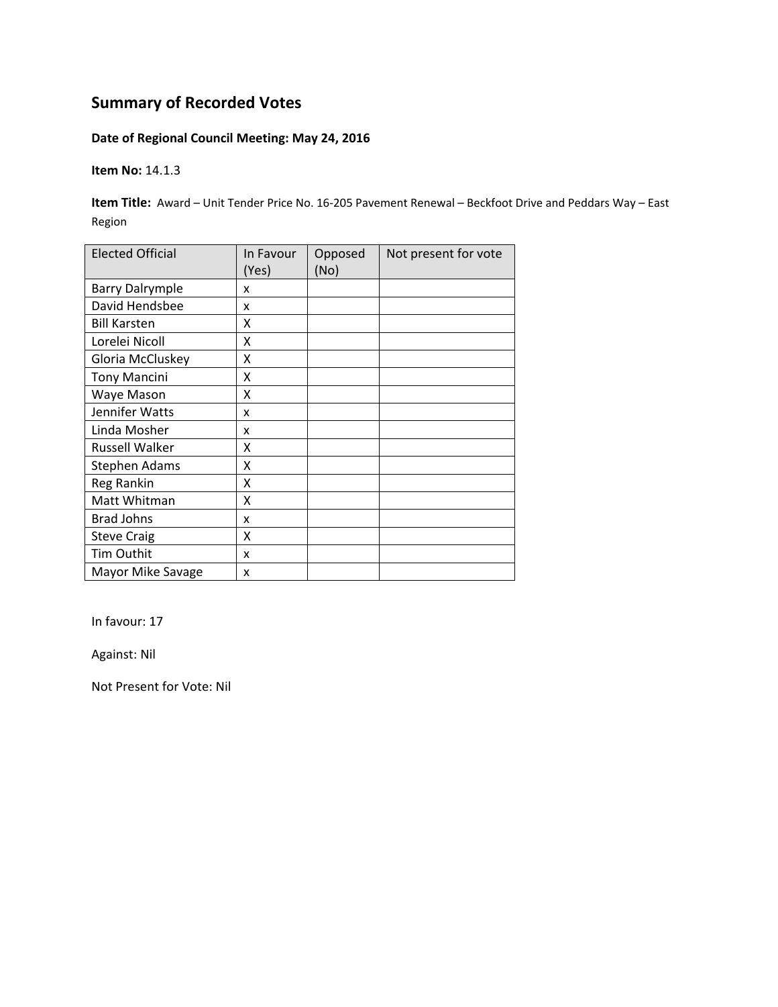### **Date of Regional Council Meeting: May 24, 2016**

**Item No:** 14.1.3

**Item Title:** Award – Unit Tender Price No. 16‐205 Pavement Renewal – Beckfoot Drive and Peddars Way – East Region

| <b>Elected Official</b> | In Favour<br>(Yes) | Opposed<br>(No) | Not present for vote |
|-------------------------|--------------------|-----------------|----------------------|
| <b>Barry Dalrymple</b>  | x                  |                 |                      |
| David Hendsbee          | x                  |                 |                      |
| <b>Bill Karsten</b>     | X                  |                 |                      |
| Lorelei Nicoll          | X                  |                 |                      |
| Gloria McCluskey        | X                  |                 |                      |
| <b>Tony Mancini</b>     | X                  |                 |                      |
| Waye Mason              | x                  |                 |                      |
| Jennifer Watts          | x                  |                 |                      |
| Linda Mosher            | x                  |                 |                      |
| <b>Russell Walker</b>   | X                  |                 |                      |
| <b>Stephen Adams</b>    | x                  |                 |                      |
| <b>Reg Rankin</b>       | Χ                  |                 |                      |
| Matt Whitman            | X                  |                 |                      |
| <b>Brad Johns</b>       | x                  |                 |                      |
| <b>Steve Craig</b>      | Χ                  |                 |                      |
| Tim Outhit              | x                  |                 |                      |
| Mayor Mike Savage       | x                  |                 |                      |

In favour: 17

Against: Nil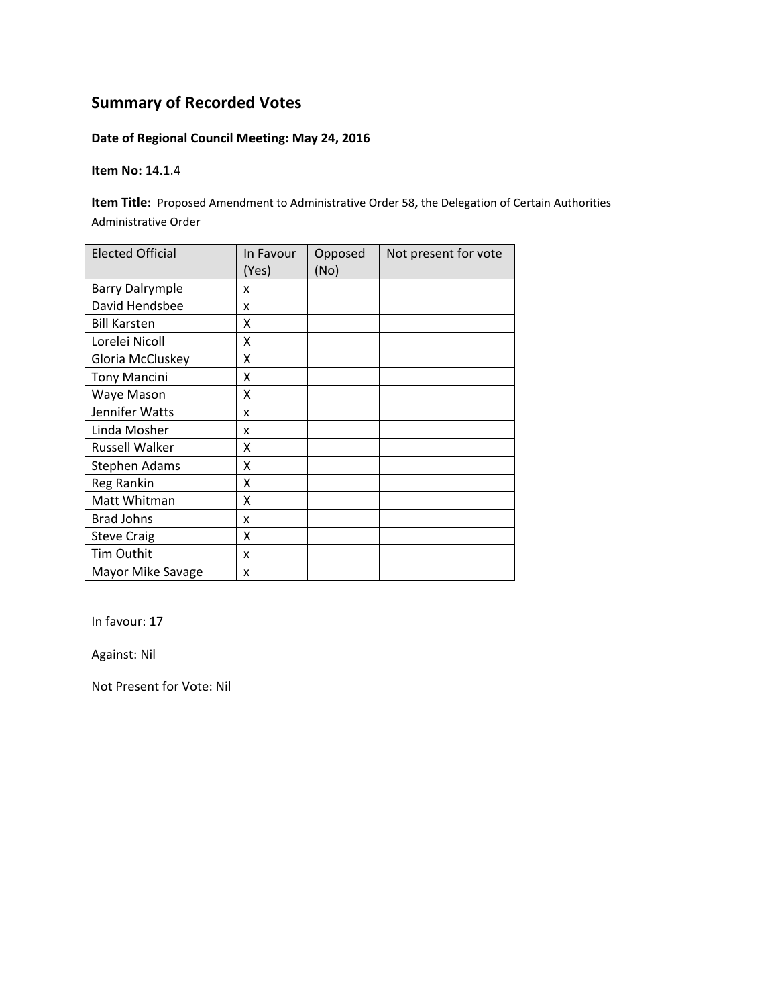### **Date of Regional Council Meeting: May 24, 2016**

**Item No:** 14.1.4

**Item Title:** Proposed Amendment to Administrative Order 58**,** the Delegation of Certain Authorities Administrative Order

| <b>Elected Official</b> | In Favour<br>(Yes) | Opposed<br>(No) | Not present for vote |
|-------------------------|--------------------|-----------------|----------------------|
| <b>Barry Dalrymple</b>  | x                  |                 |                      |
| David Hendsbee          | x                  |                 |                      |
| <b>Bill Karsten</b>     | Χ                  |                 |                      |
| Lorelei Nicoll          | Χ                  |                 |                      |
| Gloria McCluskey        | Χ                  |                 |                      |
| <b>Tony Mancini</b>     | Χ                  |                 |                      |
| Waye Mason              | x                  |                 |                      |
| Jennifer Watts          | x                  |                 |                      |
| Linda Mosher            | x                  |                 |                      |
| <b>Russell Walker</b>   | χ                  |                 |                      |
| <b>Stephen Adams</b>    | Χ                  |                 |                      |
| Reg Rankin              | X                  |                 |                      |
| Matt Whitman            | Χ                  |                 |                      |
| <b>Brad Johns</b>       | x                  |                 |                      |
| <b>Steve Craig</b>      | Χ                  |                 |                      |
| Tim Outhit              | x                  |                 |                      |
| Mayor Mike Savage       | x                  |                 |                      |

In favour: 17

Against: Nil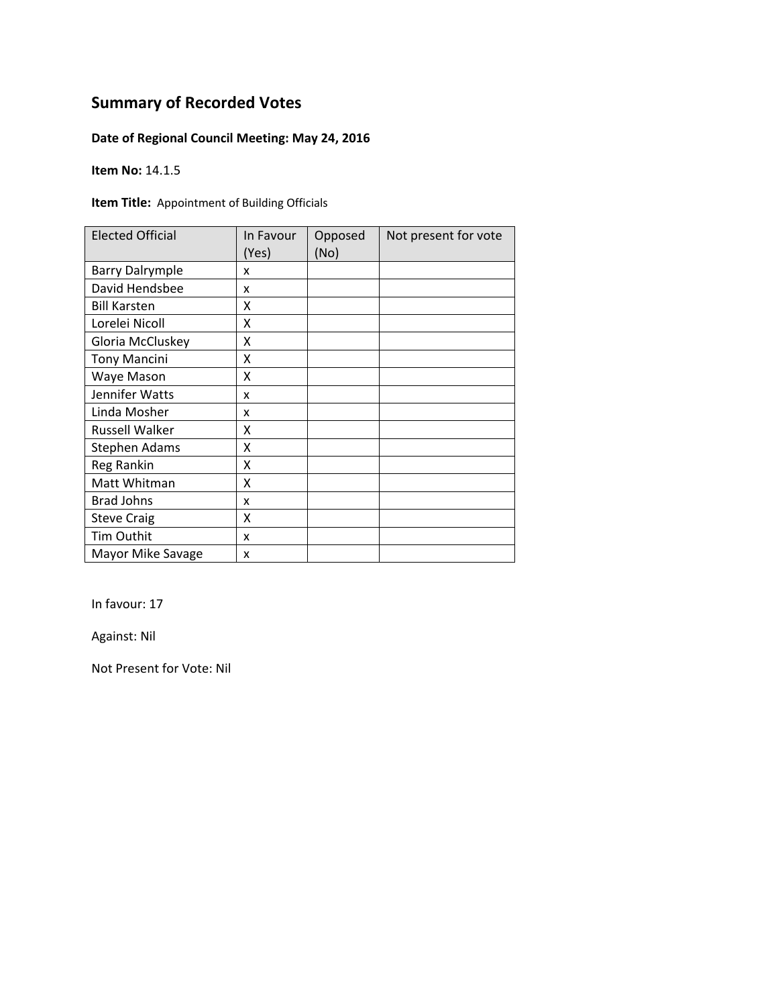### **Date of Regional Council Meeting: May 24, 2016**

**Item No:** 14.1.5

**Item Title:** Appointment of Building Officials

| <b>Elected Official</b> | In Favour<br>(Yes) | Opposed<br>(No) | Not present for vote |
|-------------------------|--------------------|-----------------|----------------------|
| <b>Barry Dalrymple</b>  | x                  |                 |                      |
| David Hendsbee          | x                  |                 |                      |
| <b>Bill Karsten</b>     | x                  |                 |                      |
| Lorelei Nicoll          | X                  |                 |                      |
| Gloria McCluskey        | Χ                  |                 |                      |
| <b>Tony Mancini</b>     | Χ                  |                 |                      |
| Waye Mason              | Χ                  |                 |                      |
| Jennifer Watts          | x                  |                 |                      |
| Linda Mosher            | x                  |                 |                      |
| <b>Russell Walker</b>   | χ                  |                 |                      |
| <b>Stephen Adams</b>    | x                  |                 |                      |
| Reg Rankin              | X                  |                 |                      |
| Matt Whitman            | X                  |                 |                      |
| <b>Brad Johns</b>       | x                  |                 |                      |
| <b>Steve Craig</b>      | Χ                  |                 |                      |
| <b>Tim Outhit</b>       | x                  |                 |                      |
| Mayor Mike Savage       | X                  |                 |                      |

In favour: 17

Against: Nil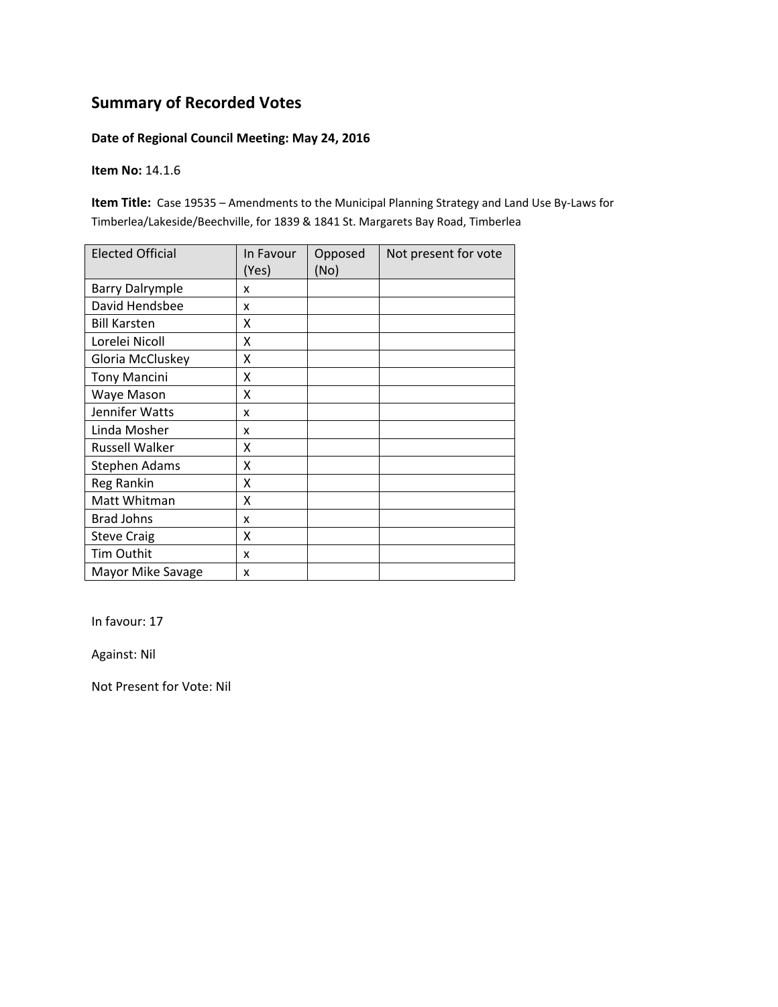#### **Date of Regional Council Meeting: May 24, 2016**

**Item No:** 14.1.6

**Item Title:** Case 19535 – Amendments to the Municipal Planning Strategy and Land Use By‐Laws for Timberlea/Lakeside/Beechville, for 1839 & 1841 St. Margarets Bay Road, Timberlea

| <b>Elected Official</b> | In Favour<br>(Yes) | Opposed<br>(No) | Not present for vote |
|-------------------------|--------------------|-----------------|----------------------|
| <b>Barry Dalrymple</b>  | x                  |                 |                      |
| David Hendsbee          | x                  |                 |                      |
| <b>Bill Karsten</b>     | x                  |                 |                      |
| Lorelei Nicoll          | X                  |                 |                      |
| Gloria McCluskey        | Χ                  |                 |                      |
| <b>Tony Mancini</b>     | Χ                  |                 |                      |
| Waye Mason              | x                  |                 |                      |
| Jennifer Watts          | x                  |                 |                      |
| Linda Mosher            | x                  |                 |                      |
| Russell Walker          | x                  |                 |                      |
| <b>Stephen Adams</b>    | x                  |                 |                      |
| Reg Rankin              | X                  |                 |                      |
| Matt Whitman            | X                  |                 |                      |
| <b>Brad Johns</b>       | x                  |                 |                      |
| <b>Steve Craig</b>      | X                  |                 |                      |
| Tim Outhit              | x                  |                 |                      |
| Mayor Mike Savage       | x                  |                 |                      |

In favour: 17

Against: Nil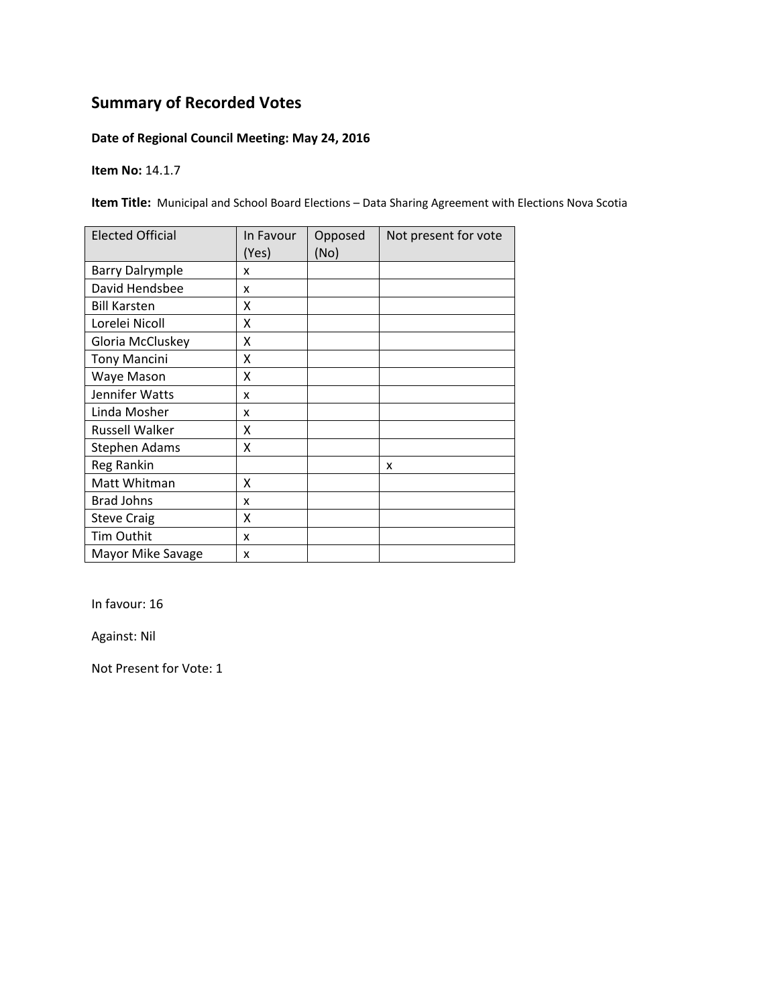### **Date of Regional Council Meeting: May 24, 2016**

**Item No:** 14.1.7

**Item Title:** Municipal and School Board Elections – Data Sharing Agreement with Elections Nova Scotia

| <b>Elected Official</b> | In Favour<br>(Yes) | Opposed<br>(No) | Not present for vote |
|-------------------------|--------------------|-----------------|----------------------|
| <b>Barry Dalrymple</b>  | x                  |                 |                      |
| David Hendsbee          | x                  |                 |                      |
| <b>Bill Karsten</b>     | x                  |                 |                      |
| Lorelei Nicoll          | X                  |                 |                      |
| Gloria McCluskey        | Χ                  |                 |                      |
| <b>Tony Mancini</b>     | Χ                  |                 |                      |
| Waye Mason              | x                  |                 |                      |
| Jennifer Watts          | x                  |                 |                      |
| Linda Mosher            | x                  |                 |                      |
| Russell Walker          | X                  |                 |                      |
| Stephen Adams           | X                  |                 |                      |
| Reg Rankin              |                    |                 | x                    |
| Matt Whitman            | X                  |                 |                      |
| <b>Brad Johns</b>       | x                  |                 |                      |
| <b>Steve Craig</b>      | X                  |                 |                      |
| Tim Outhit              | x                  |                 |                      |
| Mayor Mike Savage       | x                  |                 |                      |

In favour: 16

Against: Nil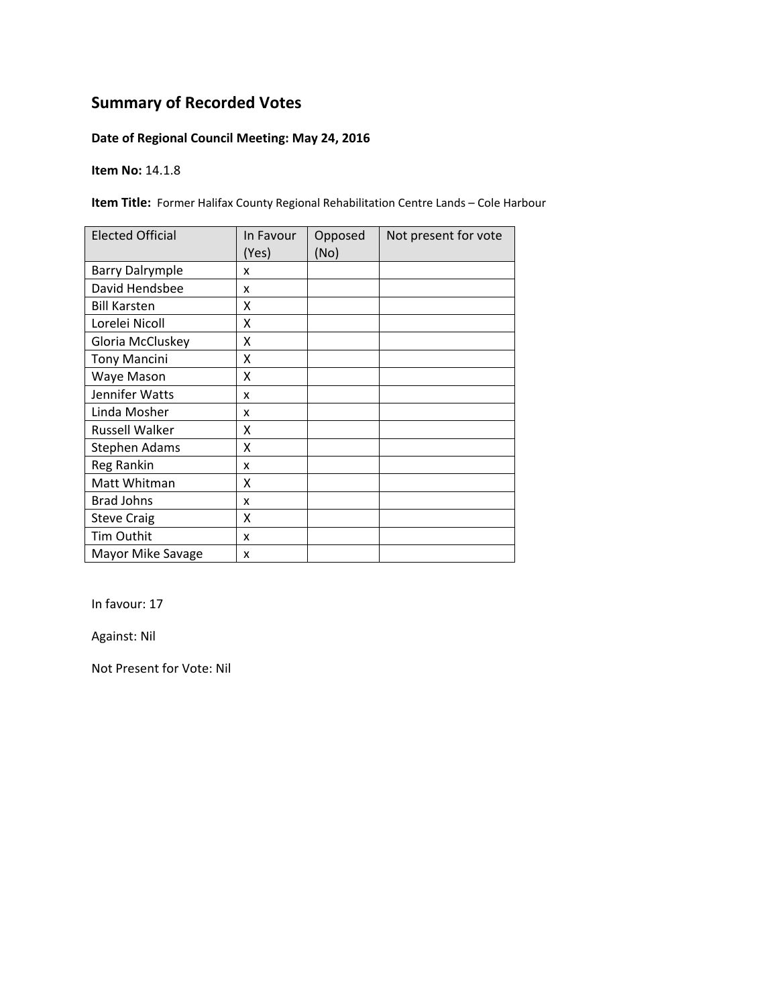### **Date of Regional Council Meeting: May 24, 2016**

**Item No:** 14.1.8

**Item Title:** Former Halifax County Regional Rehabilitation Centre Lands – Cole Harbour

| <b>Elected Official</b> | In Favour<br>(Yes) | Opposed<br>(No) | Not present for vote |
|-------------------------|--------------------|-----------------|----------------------|
| <b>Barry Dalrymple</b>  | x                  |                 |                      |
| David Hendsbee          | x                  |                 |                      |
| <b>Bill Karsten</b>     | x                  |                 |                      |
| Lorelei Nicoll          | X                  |                 |                      |
| Gloria McCluskey        | Χ                  |                 |                      |
| <b>Tony Mancini</b>     | Χ                  |                 |                      |
| Waye Mason              | x                  |                 |                      |
| Jennifer Watts          | x                  |                 |                      |
| Linda Mosher            | x                  |                 |                      |
| Russell Walker          | X                  |                 |                      |
| <b>Stephen Adams</b>    | X                  |                 |                      |
| Reg Rankin              | x                  |                 |                      |
| Matt Whitman            | X                  |                 |                      |
| <b>Brad Johns</b>       | x                  |                 |                      |
| <b>Steve Craig</b>      | X                  |                 |                      |
| Tim Outhit              | x                  |                 |                      |
| Mayor Mike Savage       | x                  |                 |                      |

In favour: 17

Against: Nil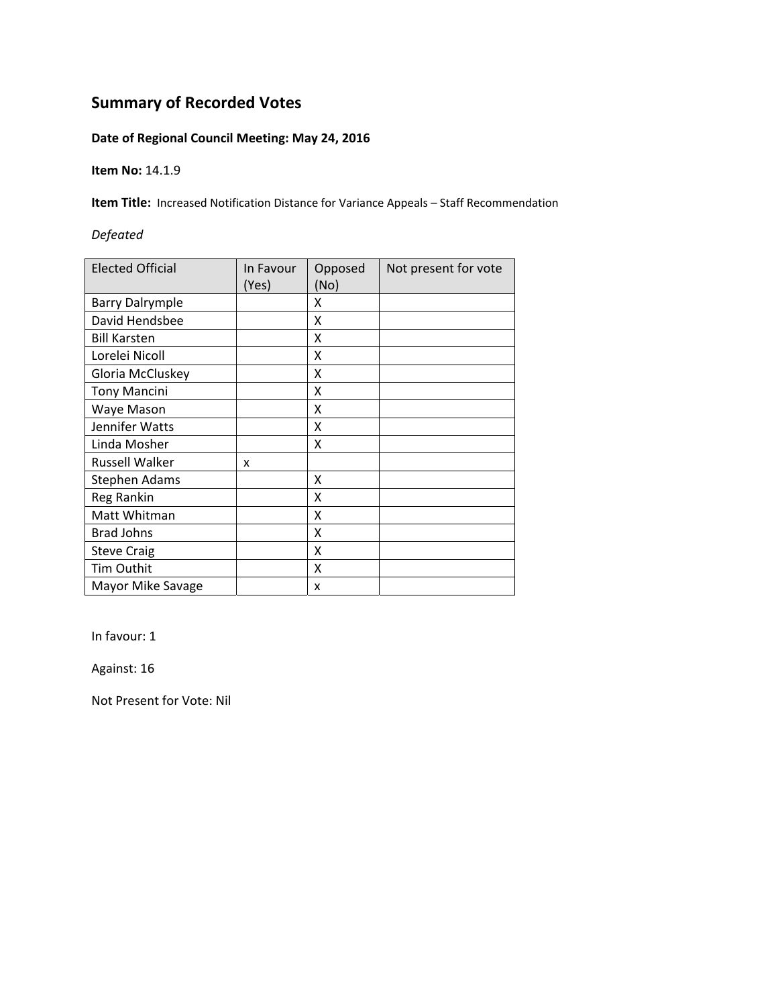### **Date of Regional Council Meeting: May 24, 2016**

**Item No:** 14.1.9

**Item Title:** Increased Notification Distance for Variance Appeals – Staff Recommendation

#### *Defeated*

| <b>Elected Official</b> | In Favour<br>(Yes) | Opposed<br>(No) | Not present for vote |
|-------------------------|--------------------|-----------------|----------------------|
| <b>Barry Dalrymple</b>  |                    | X               |                      |
| David Hendsbee          |                    | X               |                      |
| <b>Bill Karsten</b>     |                    | X               |                      |
| Lorelei Nicoll          |                    | X               |                      |
| Gloria McCluskey        |                    | X               |                      |
| <b>Tony Mancini</b>     |                    | X               |                      |
| Waye Mason              |                    | X               |                      |
| Jennifer Watts          |                    | X               |                      |
| Linda Mosher            |                    | x               |                      |
| <b>Russell Walker</b>   | x                  |                 |                      |
| Stephen Adams           |                    | x               |                      |
| Reg Rankin              |                    | X               |                      |
| Matt Whitman            |                    | x               |                      |
| <b>Brad Johns</b>       |                    | X               |                      |
| <b>Steve Craig</b>      |                    | X               |                      |
| <b>Tim Outhit</b>       |                    | X               |                      |
| Mayor Mike Savage       |                    | x               |                      |

In favour: 1

Against: 16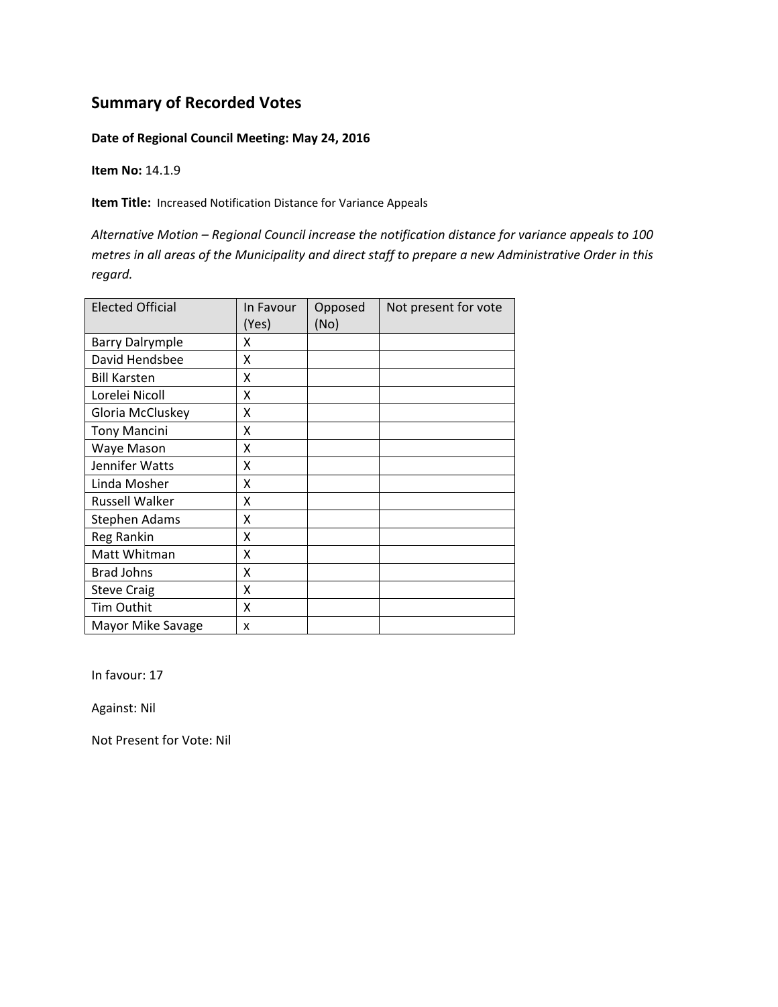#### **Date of Regional Council Meeting: May 24, 2016**

**Item No:** 14.1.9

**Item Title:** Increased Notification Distance for Variance Appeals

*Alternative Motion – Regional Council increase the notification distance for variance appeals to 100*  metres in all areas of the Municipality and direct staff to prepare a new Administrative Order in this *regard.*

| <b>Elected Official</b> | In Favour<br>(Yes) | Opposed<br>(No) | Not present for vote |
|-------------------------|--------------------|-----------------|----------------------|
| <b>Barry Dalrymple</b>  | x                  |                 |                      |
| David Hendsbee          | x                  |                 |                      |
| <b>Bill Karsten</b>     | x                  |                 |                      |
| Lorelei Nicoll          | X                  |                 |                      |
| Gloria McCluskey        | X                  |                 |                      |
| <b>Tony Mancini</b>     | x                  |                 |                      |
| Waye Mason              | x                  |                 |                      |
| Jennifer Watts          | Χ                  |                 |                      |
| Linda Mosher            | Χ                  |                 |                      |
| <b>Russell Walker</b>   | Χ                  |                 |                      |
| <b>Stephen Adams</b>    | X                  |                 |                      |
| Reg Rankin              | X                  |                 |                      |
| Matt Whitman            | X                  |                 |                      |
| <b>Brad Johns</b>       | x                  |                 |                      |
| <b>Steve Craig</b>      | X                  |                 |                      |
| Tim Outhit              | x                  |                 |                      |
| Mayor Mike Savage       | x                  |                 |                      |

In favour: 17

Against: Nil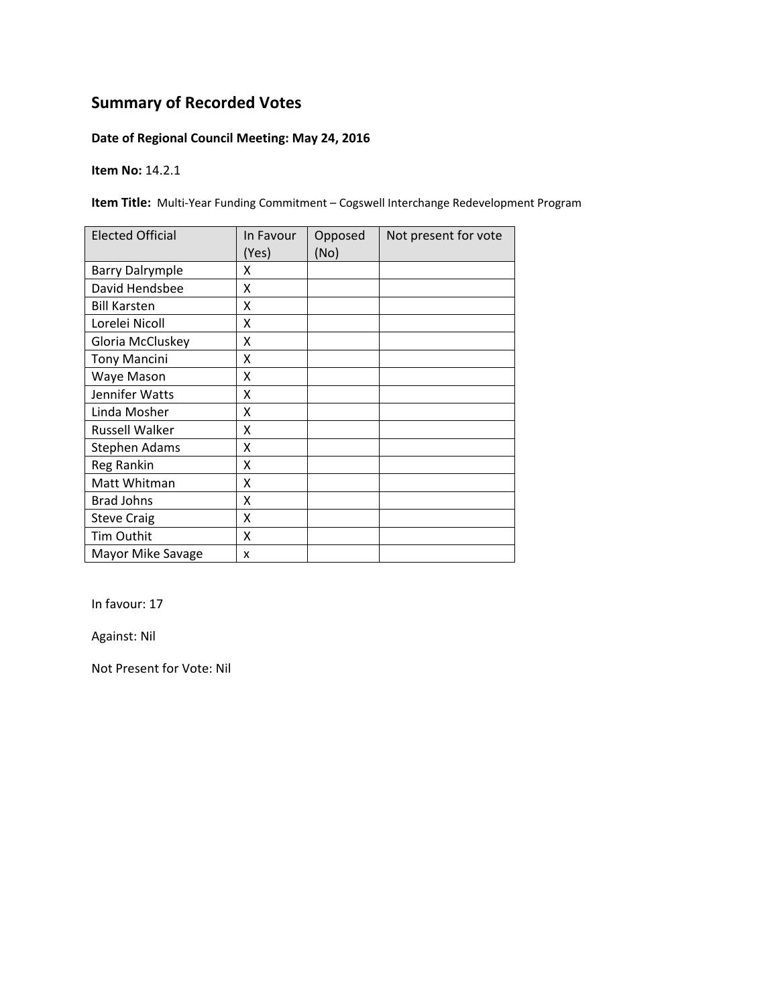### **Date of Regional Council Meeting: May 24, 2016**

**Item No:** 14.2.1

**Item Title:** Multi‐Year Funding Commitment – Cogswell Interchange Redevelopment Program

| <b>Elected Official</b> | In Favour<br>(Yes) | Opposed<br>(No) | Not present for vote |
|-------------------------|--------------------|-----------------|----------------------|
| <b>Barry Dalrymple</b>  | x                  |                 |                      |
| David Hendsbee          | x                  |                 |                      |
| <b>Bill Karsten</b>     | x                  |                 |                      |
| Lorelei Nicoll          | Χ                  |                 |                      |
| Gloria McCluskey        | Χ                  |                 |                      |
| <b>Tony Mancini</b>     | Χ                  |                 |                      |
| Waye Mason              | Χ                  |                 |                      |
| Jennifer Watts          | x                  |                 |                      |
| Linda Mosher            | x                  |                 |                      |
| <b>Russell Walker</b>   | x                  |                 |                      |
| <b>Stephen Adams</b>    | X                  |                 |                      |
| Reg Rankin              | X                  |                 |                      |
| Matt Whitman            | X                  |                 |                      |
| <b>Brad Johns</b>       | X                  |                 |                      |
| <b>Steve Craig</b>      | X                  |                 |                      |
| Tim Outhit              | X                  |                 |                      |
| Mayor Mike Savage       | X                  |                 |                      |

In favour: 17

Against: Nil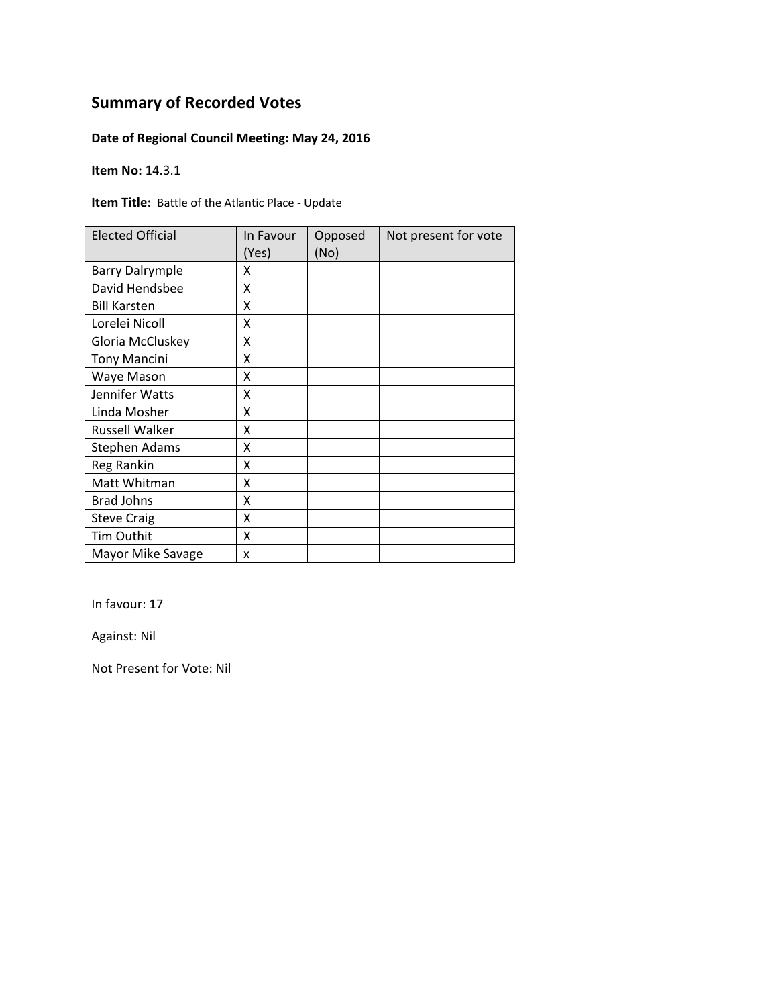### **Date of Regional Council Meeting: May 24, 2016**

**Item No:** 14.3.1

**Item Title:** Battle of the Atlantic Place ‐ Update

| <b>Elected Official</b> | In Favour<br>(Yes) | Opposed<br>(No) | Not present for vote |
|-------------------------|--------------------|-----------------|----------------------|
| <b>Barry Dalrymple</b>  | x                  |                 |                      |
| David Hendsbee          | Χ                  |                 |                      |
| <b>Bill Karsten</b>     | X                  |                 |                      |
| Lorelei Nicoll          | x                  |                 |                      |
| Gloria McCluskey        | X                  |                 |                      |
| <b>Tony Mancini</b>     | Χ                  |                 |                      |
| Waye Mason              | X                  |                 |                      |
| Jennifer Watts          | Χ                  |                 |                      |
| Linda Mosher            | X                  |                 |                      |
| <b>Russell Walker</b>   | x                  |                 |                      |
| <b>Stephen Adams</b>    | X                  |                 |                      |
| Reg Rankin              | X                  |                 |                      |
| Matt Whitman            | Χ                  |                 |                      |
| <b>Brad Johns</b>       | Χ                  |                 |                      |
| <b>Steve Craig</b>      | X                  |                 |                      |
| Tim Outhit              | X                  |                 |                      |
| Mayor Mike Savage       | X                  |                 |                      |

In favour: 17

Against: Nil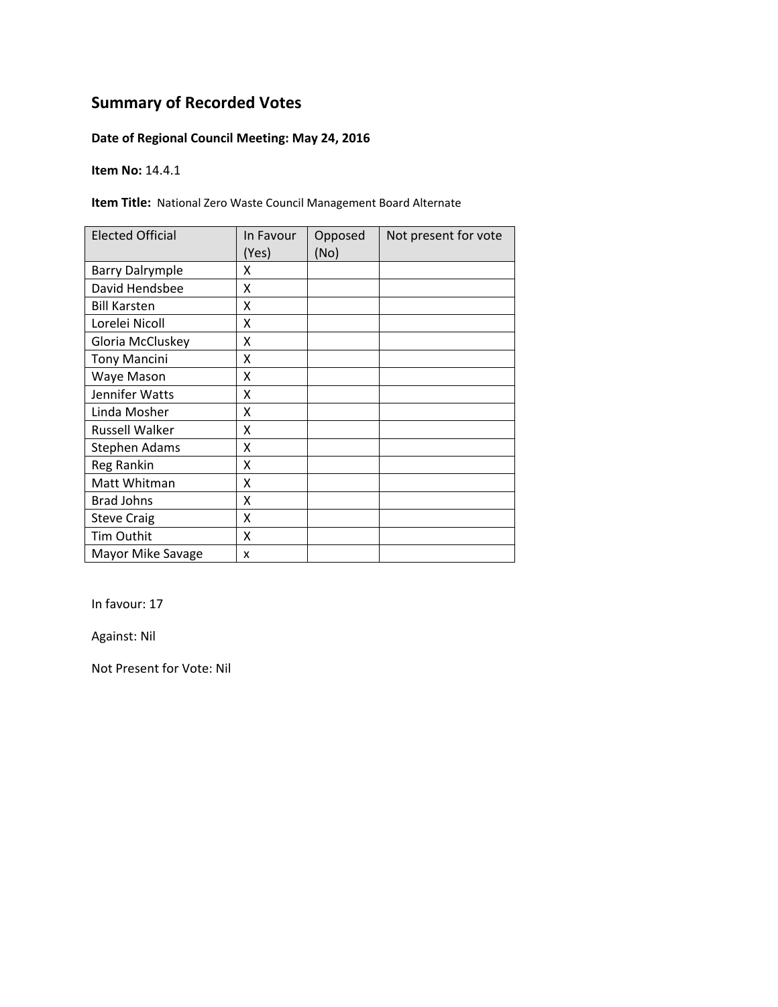### **Date of Regional Council Meeting: May 24, 2016**

**Item No:** 14.4.1

**Item Title:** National Zero Waste Council Management Board Alternate

| <b>Elected Official</b> | In Favour<br>(Yes) | Opposed<br>(No) | Not present for vote |
|-------------------------|--------------------|-----------------|----------------------|
| <b>Barry Dalrymple</b>  | x                  |                 |                      |
| David Hendsbee          | X                  |                 |                      |
| <b>Bill Karsten</b>     | X                  |                 |                      |
| Lorelei Nicoll          | X                  |                 |                      |
| Gloria McCluskey        | X                  |                 |                      |
| <b>Tony Mancini</b>     | Χ                  |                 |                      |
| Waye Mason              | Χ                  |                 |                      |
| Jennifer Watts          | Χ                  |                 |                      |
| Linda Mosher            | x                  |                 |                      |
| Russell Walker          | x                  |                 |                      |
| Stephen Adams           | X                  |                 |                      |
| Reg Rankin              | X                  |                 |                      |
| Matt Whitman            | X                  |                 |                      |
| <b>Brad Johns</b>       | X                  |                 |                      |
| <b>Steve Craig</b>      | X                  |                 |                      |
| Tim Outhit              | Χ                  |                 |                      |
| Mayor Mike Savage       | x                  |                 |                      |

In favour: 17

Against: Nil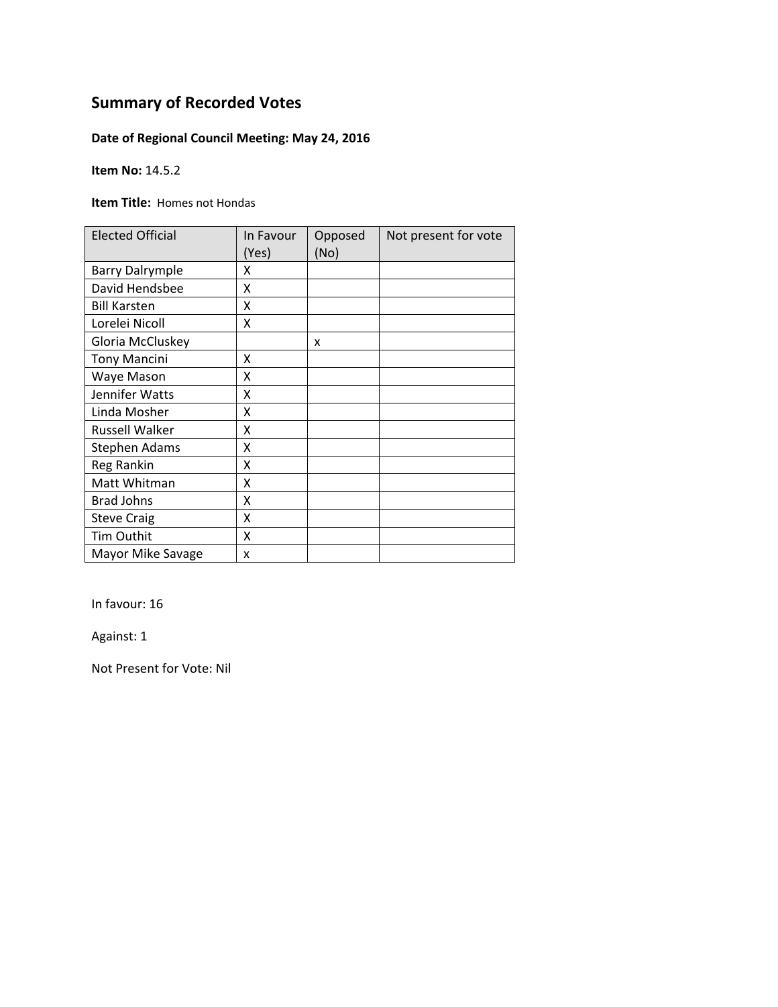### **Date of Regional Council Meeting: May 24, 2016**

**Item No:** 14.5.2

**Item Title:** Homes not Hondas

| <b>Elected Official</b> | In Favour<br>(Yes) | Opposed<br>(No) | Not present for vote |
|-------------------------|--------------------|-----------------|----------------------|
| <b>Barry Dalrymple</b>  | X                  |                 |                      |
| David Hendsbee          | X                  |                 |                      |
| <b>Bill Karsten</b>     | X                  |                 |                      |
| Lorelei Nicoll          | Χ                  |                 |                      |
| Gloria McCluskey        |                    | x               |                      |
| <b>Tony Mancini</b>     | X                  |                 |                      |
| Waye Mason              | Χ                  |                 |                      |
| Jennifer Watts          | Χ                  |                 |                      |
| Linda Mosher            | Χ                  |                 |                      |
| <b>Russell Walker</b>   | Χ                  |                 |                      |
| Stephen Adams           | Χ                  |                 |                      |
| Reg Rankin              | Χ                  |                 |                      |
| Matt Whitman            | Χ                  |                 |                      |
| <b>Brad Johns</b>       | Χ                  |                 |                      |
| <b>Steve Craig</b>      | Χ                  |                 |                      |
| <b>Tim Outhit</b>       | Χ                  |                 |                      |
| Mayor Mike Savage       | X                  |                 |                      |

In favour: 16

Against: 1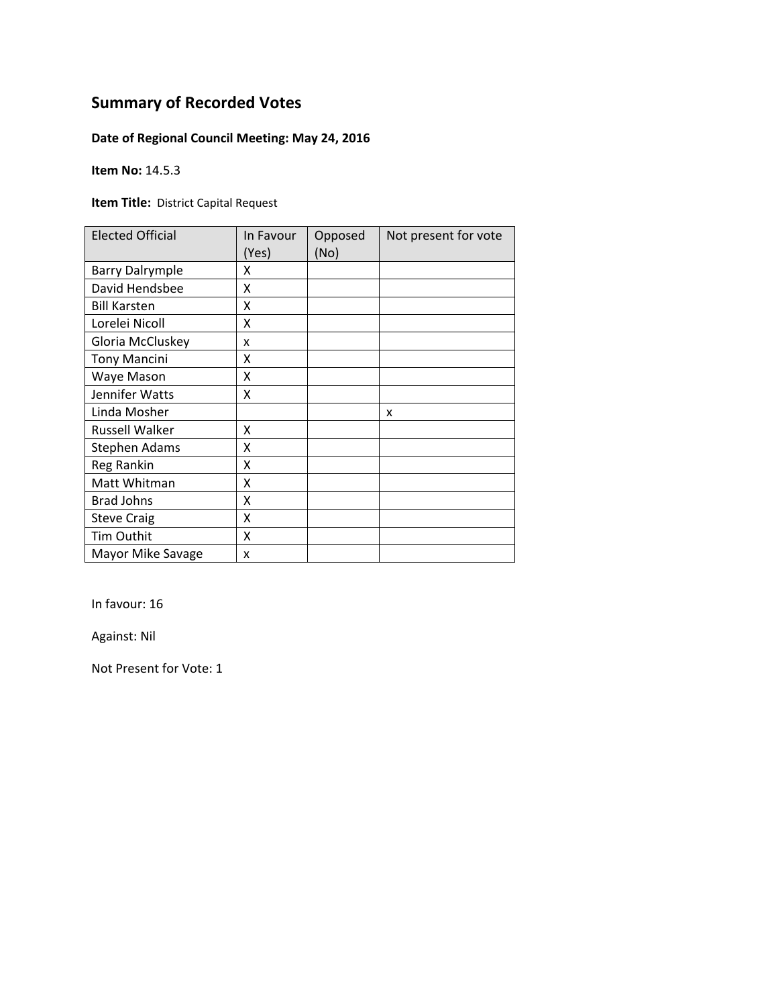### **Date of Regional Council Meeting: May 24, 2016**

**Item No:** 14.5.3

**Item Title:** District Capital Request

| <b>Elected Official</b> | In Favour<br>(Yes) | Opposed<br>(No) | Not present for vote |
|-------------------------|--------------------|-----------------|----------------------|
| <b>Barry Dalrymple</b>  | χ                  |                 |                      |
| David Hendsbee          | Χ                  |                 |                      |
| <b>Bill Karsten</b>     | X                  |                 |                      |
| Lorelei Nicoll          | x                  |                 |                      |
| Gloria McCluskey        | x                  |                 |                      |
| <b>Tony Mancini</b>     | Χ                  |                 |                      |
| Waye Mason              | Χ                  |                 |                      |
| Jennifer Watts          | Χ                  |                 |                      |
| Linda Mosher            |                    |                 | x                    |
| <b>Russell Walker</b>   | x                  |                 |                      |
| <b>Stephen Adams</b>    | Χ                  |                 |                      |
| <b>Reg Rankin</b>       | Χ                  |                 |                      |
| Matt Whitman            | Χ                  |                 |                      |
| <b>Brad Johns</b>       | Χ                  |                 |                      |
| <b>Steve Craig</b>      | X                  |                 |                      |
| Tim Outhit              | X                  |                 |                      |
| Mayor Mike Savage       | X                  |                 |                      |

In favour: 16

Against: Nil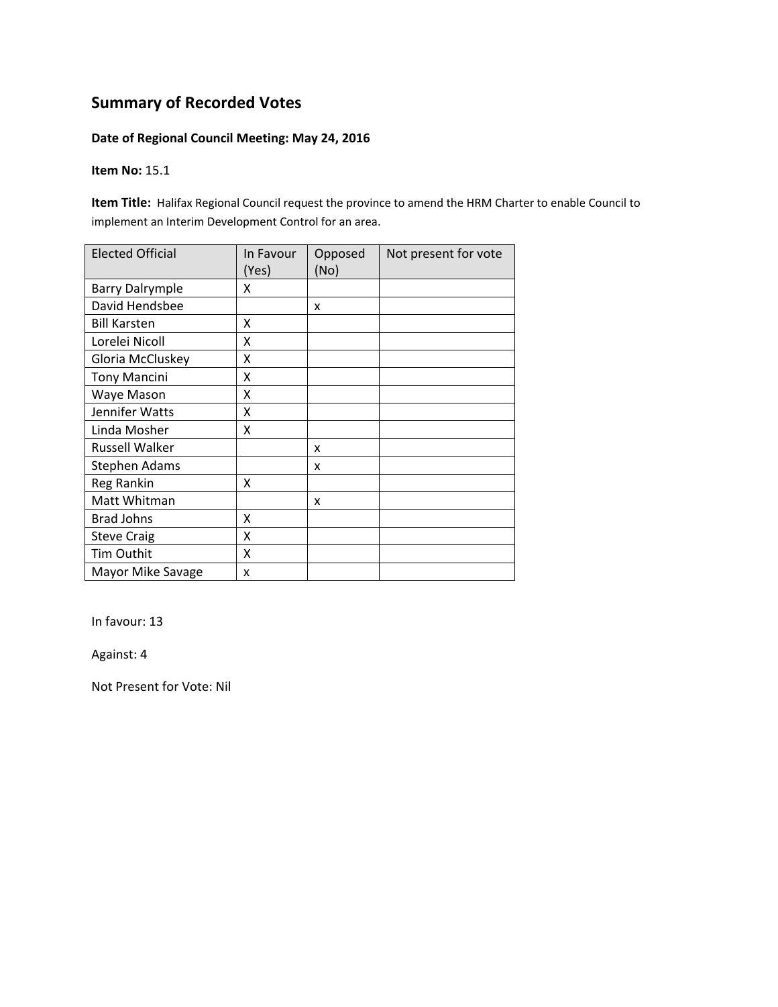#### **Date of Regional Council Meeting: May 24, 2016**

#### **Item No:** 15.1

**Item Title:** Halifax Regional Council request the province to amend the HRM Charter to enable Council to implement an Interim Development Control for an area.

| <b>Elected Official</b> | In Favour<br>(Yes) | Opposed<br>(No) | Not present for vote |
|-------------------------|--------------------|-----------------|----------------------|
| <b>Barry Dalrymple</b>  | x                  |                 |                      |
| David Hendsbee          |                    | x               |                      |
| <b>Bill Karsten</b>     | Χ                  |                 |                      |
| Lorelei Nicoll          | Χ                  |                 |                      |
| Gloria McCluskey        | Χ                  |                 |                      |
| <b>Tony Mancini</b>     | Χ                  |                 |                      |
| Waye Mason              | X                  |                 |                      |
| Jennifer Watts          | Χ                  |                 |                      |
| Linda Mosher            | X                  |                 |                      |
| <b>Russell Walker</b>   |                    | x               |                      |
| <b>Stephen Adams</b>    |                    | x               |                      |
| Reg Rankin              | Χ                  |                 |                      |
| Matt Whitman            |                    | x               |                      |
| <b>Brad Johns</b>       | X                  |                 |                      |
| <b>Steve Craig</b>      | X                  |                 |                      |
| Tim Outhit              | X                  |                 |                      |
| Mayor Mike Savage       | x                  |                 |                      |

In favour: 13

Against: 4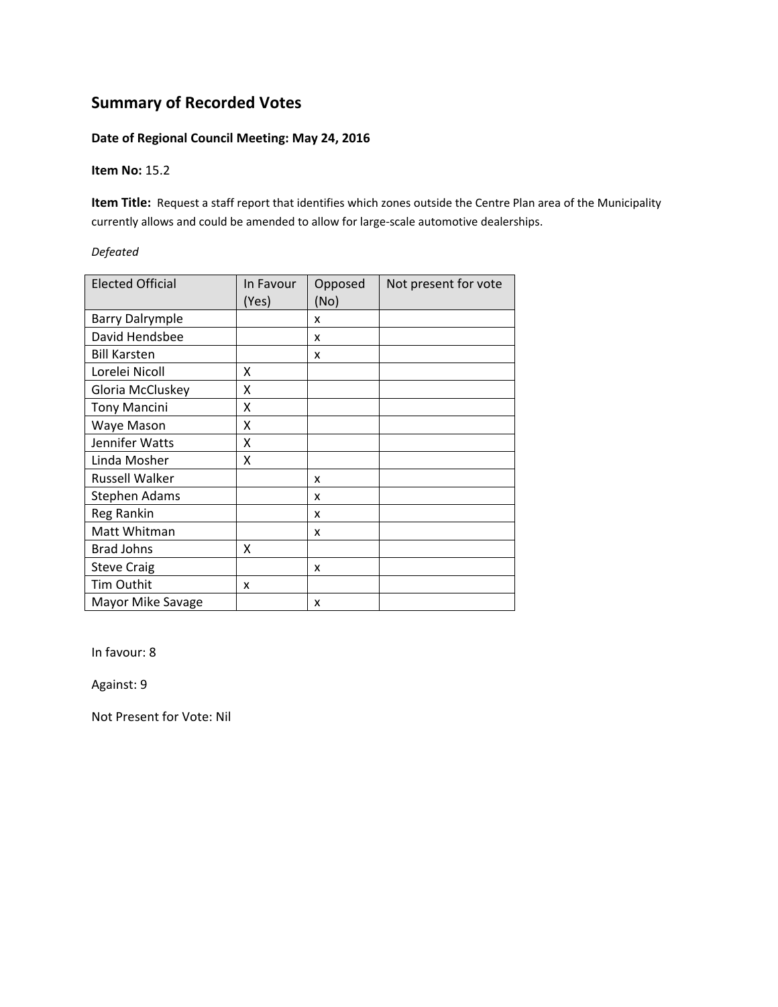#### **Date of Regional Council Meeting: May 24, 2016**

#### **Item No:** 15.2

**Item Title:** Request a staff report that identifies which zones outside the Centre Plan area of the Municipality currently allows and could be amended to allow for large‐scale automotive dealerships.

#### *Defeated*

| <b>Elected Official</b> | In Favour<br>(Yes) | Opposed<br>(No) | Not present for vote |
|-------------------------|--------------------|-----------------|----------------------|
| <b>Barry Dalrymple</b>  |                    | X               |                      |
| David Hendsbee          |                    | x               |                      |
| <b>Bill Karsten</b>     |                    | x               |                      |
| Lorelei Nicoll          | χ                  |                 |                      |
| Gloria McCluskey        | Χ                  |                 |                      |
| <b>Tony Mancini</b>     | x                  |                 |                      |
| Waye Mason              | Χ                  |                 |                      |
| Jennifer Watts          | χ                  |                 |                      |
| Linda Mosher            | Χ                  |                 |                      |
| <b>Russell Walker</b>   |                    | x               |                      |
| <b>Stephen Adams</b>    |                    | x               |                      |
| Reg Rankin              |                    | x               |                      |
| Matt Whitman            |                    | x               |                      |
| <b>Brad Johns</b>       | Χ                  |                 |                      |
| <b>Steve Craig</b>      |                    | x               |                      |
| Tim Outhit              | x                  |                 |                      |
| Mayor Mike Savage       |                    | x               |                      |

In favour: 8

Against: 9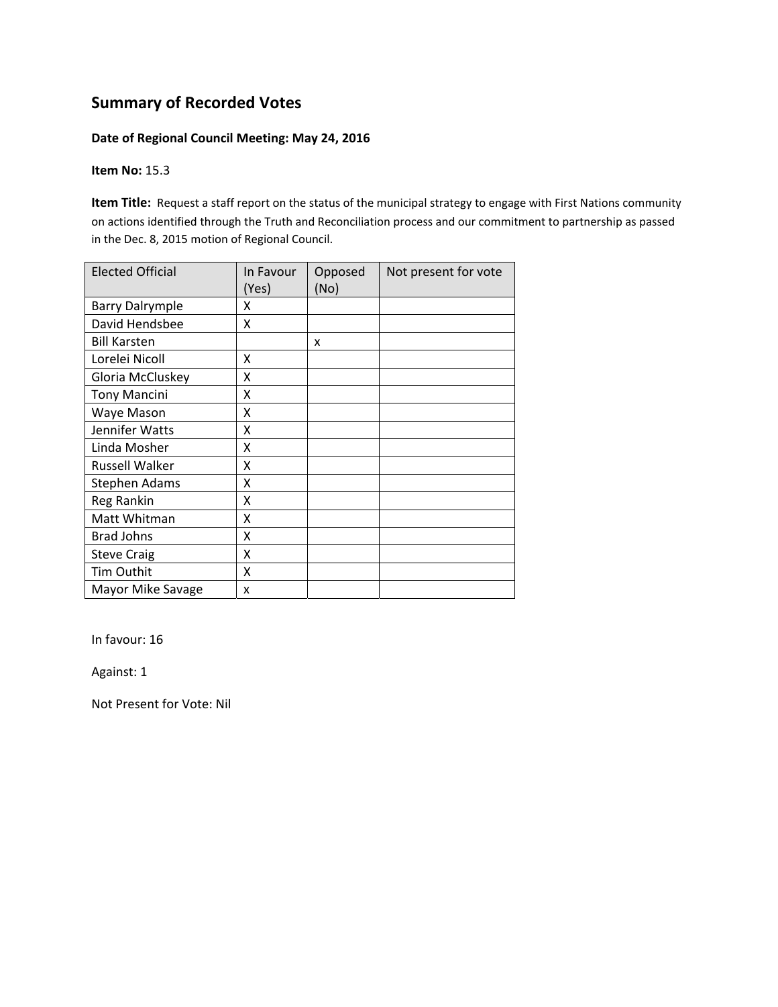#### **Date of Regional Council Meeting: May 24, 2016**

#### **Item No:** 15.3

**Item Title:** Request a staff report on the status of the municipal strategy to engage with First Nations community on actions identified through the Truth and Reconciliation process and our commitment to partnership as passed in the Dec. 8, 2015 motion of Regional Council.

| <b>Elected Official</b> | In Favour<br>(Yes) | Opposed<br>(No) | Not present for vote |
|-------------------------|--------------------|-----------------|----------------------|
| <b>Barry Dalrymple</b>  | x                  |                 |                      |
| David Hendsbee          | X                  |                 |                      |
| <b>Bill Karsten</b>     |                    | x               |                      |
| Lorelei Nicoll          | x                  |                 |                      |
| Gloria McCluskey        | Χ                  |                 |                      |
| <b>Tony Mancini</b>     | X                  |                 |                      |
| Waye Mason              | X                  |                 |                      |
| Jennifer Watts          | X                  |                 |                      |
| Linda Mosher            | X                  |                 |                      |
| <b>Russell Walker</b>   | X                  |                 |                      |
| <b>Stephen Adams</b>    | X                  |                 |                      |
| Reg Rankin              | X                  |                 |                      |
| Matt Whitman            | X                  |                 |                      |
| <b>Brad Johns</b>       | Χ                  |                 |                      |
| <b>Steve Craig</b>      | Χ                  |                 |                      |
| Tim Outhit              | x                  |                 |                      |
| Mayor Mike Savage       | x                  |                 |                      |

In favour: 16

Against: 1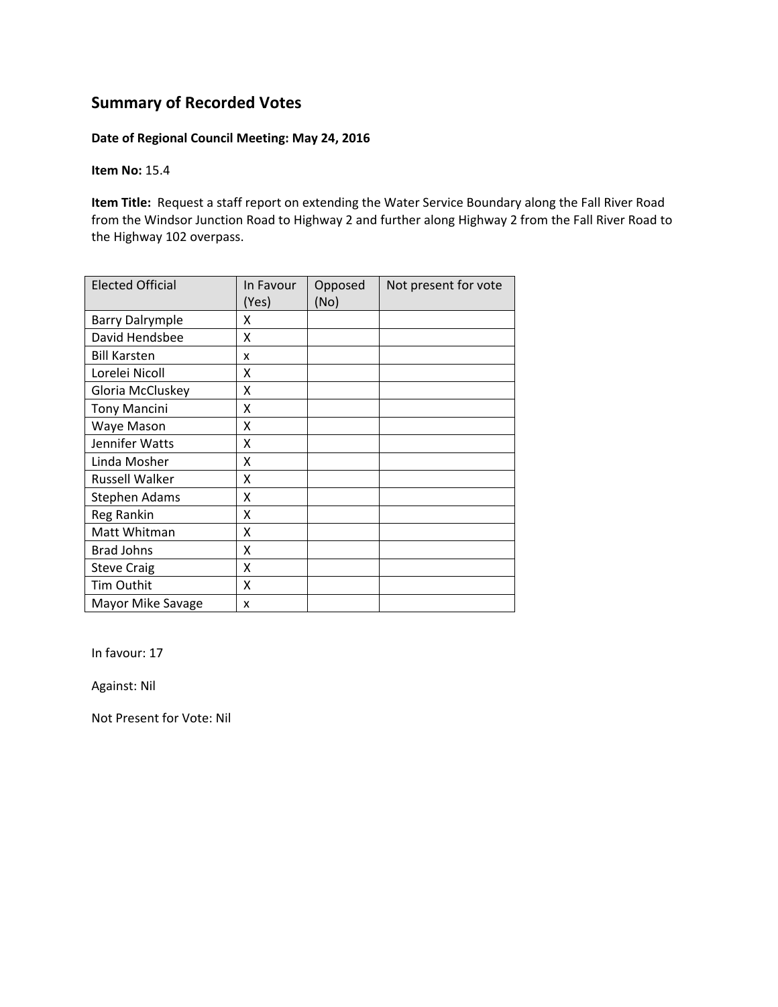#### **Date of Regional Council Meeting: May 24, 2016**

**Item No:** 15.4

**Item Title:** Request a staff report on extending the Water Service Boundary along the Fall River Road from the Windsor Junction Road to Highway 2 and further along Highway 2 from the Fall River Road to the Highway 102 overpass.

| <b>Elected Official</b> | In Favour<br>(Yes) | Opposed<br>(No) | Not present for vote |
|-------------------------|--------------------|-----------------|----------------------|
| <b>Barry Dalrymple</b>  | x                  |                 |                      |
| David Hendsbee          | X                  |                 |                      |
| <b>Bill Karsten</b>     | x                  |                 |                      |
| Lorelei Nicoll          | x                  |                 |                      |
| Gloria McCluskey        | Χ                  |                 |                      |
| <b>Tony Mancini</b>     | X                  |                 |                      |
| Waye Mason              | X                  |                 |                      |
| Jennifer Watts          | Χ                  |                 |                      |
| Linda Mosher            | x                  |                 |                      |
| <b>Russell Walker</b>   | X                  |                 |                      |
| <b>Stephen Adams</b>    | X                  |                 |                      |
| Reg Rankin              | X                  |                 |                      |
| Matt Whitman            | X                  |                 |                      |
| <b>Brad Johns</b>       | X                  |                 |                      |
| <b>Steve Craig</b>      | X                  |                 |                      |
| Tim Outhit              | x                  |                 |                      |
| Mayor Mike Savage       | x                  |                 |                      |

In favour: 17

Against: Nil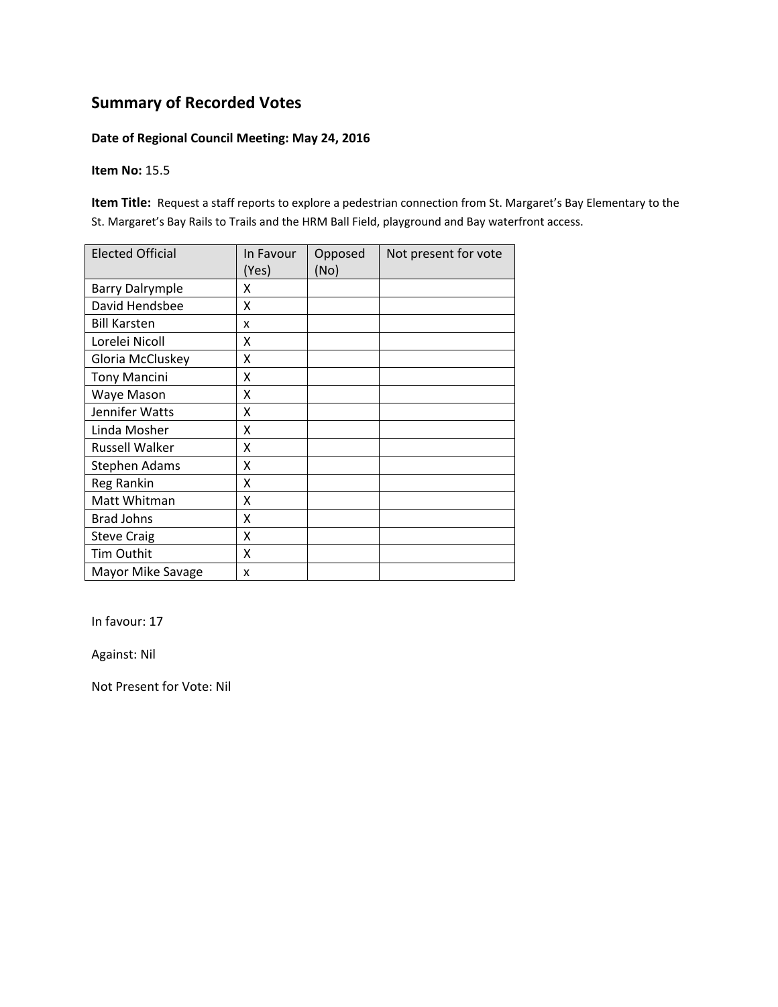#### **Date of Regional Council Meeting: May 24, 2016**

#### **Item No:** 15.5

**Item Title:** Request a staff reports to explore a pedestrian connection from St. Margaret's Bay Elementary to the St. Margaret's Bay Rails to Trails and the HRM Ball Field, playground and Bay waterfront access.

| <b>Elected Official</b> | In Favour<br>(Yes) | Opposed<br>(No) | Not present for vote |
|-------------------------|--------------------|-----------------|----------------------|
| <b>Barry Dalrymple</b>  | x                  |                 |                      |
| David Hendsbee          | x                  |                 |                      |
| <b>Bill Karsten</b>     | x                  |                 |                      |
| Lorelei Nicoll          | Χ                  |                 |                      |
| Gloria McCluskey        | X                  |                 |                      |
| <b>Tony Mancini</b>     | Χ                  |                 |                      |
| Waye Mason              | Χ                  |                 |                      |
| Jennifer Watts          | Χ                  |                 |                      |
| Linda Mosher            | X                  |                 |                      |
| <b>Russell Walker</b>   | Χ                  |                 |                      |
| <b>Stephen Adams</b>    | Χ                  |                 |                      |
| Reg Rankin              | Χ                  |                 |                      |
| Matt Whitman            | Χ                  |                 |                      |
| <b>Brad Johns</b>       | Χ                  |                 |                      |
| <b>Steve Craig</b>      | X                  |                 |                      |
| Tim Outhit              | X                  |                 |                      |
| Mayor Mike Savage       | x                  |                 |                      |

In favour: 17

Against: Nil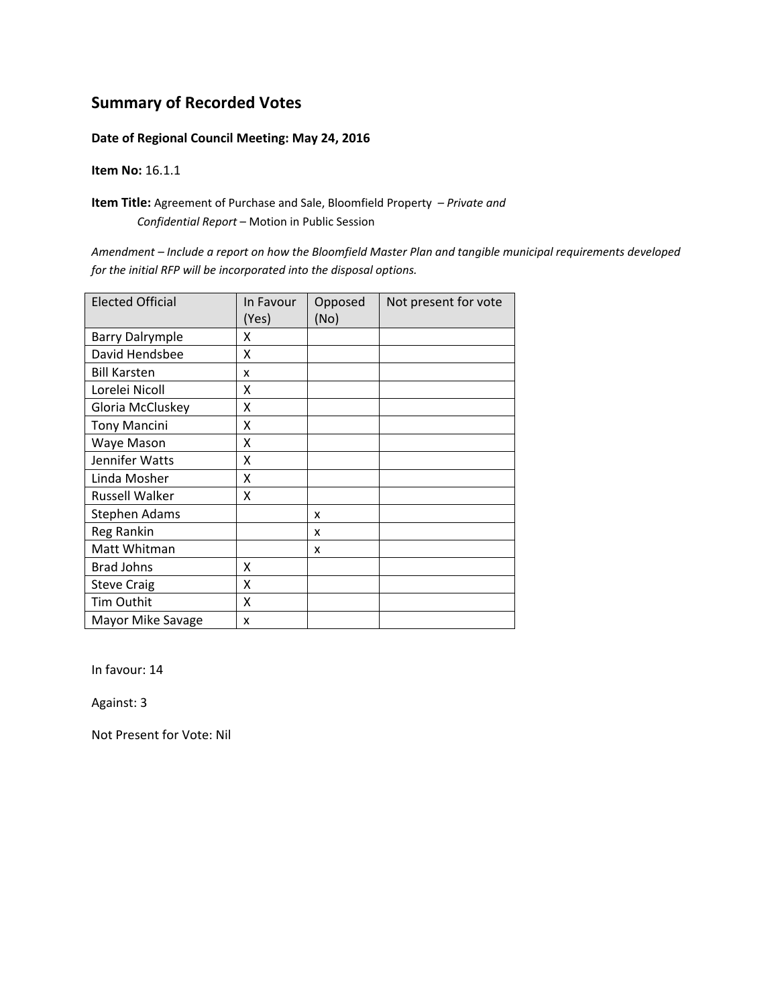#### **Date of Regional Council Meeting: May 24, 2016**

**Item No:** 16.1.1

**Item Title:** Agreement of Purchase and Sale, Bloomfield Property *– Private and Confidential Report* – Motion in Public Session

*Amendment – Include a report on how the Bloomfield Master Plan and tangible municipal requirements developed for the initial RFP will be incorporated into the disposal options.*

| <b>Elected Official</b> | In Favour<br>(Yes) | Opposed<br>(No) | Not present for vote |
|-------------------------|--------------------|-----------------|----------------------|
| <b>Barry Dalrymple</b>  | x                  |                 |                      |
| David Hendsbee          | X                  |                 |                      |
| <b>Bill Karsten</b>     | x                  |                 |                      |
| Lorelei Nicoll          | Χ                  |                 |                      |
| Gloria McCluskey        | Χ                  |                 |                      |
| <b>Tony Mancini</b>     | Χ                  |                 |                      |
| Waye Mason              | X                  |                 |                      |
| Jennifer Watts          | X                  |                 |                      |
| Linda Mosher            | X                  |                 |                      |
| <b>Russell Walker</b>   | x                  |                 |                      |
| <b>Stephen Adams</b>    |                    | x               |                      |
| Reg Rankin              |                    | x               |                      |
| Matt Whitman            |                    | x               |                      |
| <b>Brad Johns</b>       | Χ                  |                 |                      |
| <b>Steve Craig</b>      | X                  |                 |                      |
| Tim Outhit              | x                  |                 |                      |
| Mayor Mike Savage       | x                  |                 |                      |

In favour: 14

Against: 3